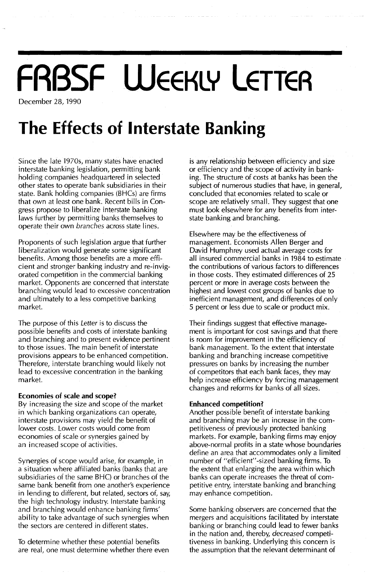# **FRBSF WEEKLY LETTER**

December 28, 1990

## **The Effects of Interstate Banking**

Since the late 19705, many states have enacted interstate banking legislation, permitting bank holding companies headquartered in selected other states to operate bank subsidiaries in their state. Bank holding companies (BHCs) are firms that own at least one bank. Recent bills in Congress propose to liberalize interstate banking laws further by permitting banks themselves to operate their own *branches* across state lines.

Proponents of such legislation argue that further liberalization would generate some significant benefits. Among those benefits are a more efficient and stronger banking industry and re-invigorated competition in the commercial banking market. Opponents are concerned that interstate branching would lead to excessive concentration and ultimately to a less competitive banking market.

The purpose of this *Letter* is to discuss the possible benefits and costs of interstate banking and branching and to present evidence pertinent to those issues. The main benefit of interstate provisions appears to be enhanced competition. Therefore, interstate branching would likely not lead to excessive concentration in the banking market.

### **Economies of scale and scope?**

By increasing the size and scope of the market in which banking organizations can operate, interstate provisions may yield the benefit of lower costs. Lower costs would come from economies of scale or synergies gained by an increased scope of activities.

Synergies of scope would arise, for example, in a situation where affiliated banks (banks that are subsidiaries of the same BHC) or branches of the same bank benefit from one another's experience in lending to different, but related, sectors of, say, the high technology industry. Interstate banking and branching would enhance banking firms' ability to take advantage of such synergies when the sectors are centered in different states.

To determine whether these potential benefits are real, one must determine whether there even is any relationship between efficiency and size or efficiency and the scope of activity in banking. The structure of costs at banks has been the subject of numerous studies that have, in general, concluded that economies related to scale or scope are relatively small. They suggest that one must look elsewhere for any benefits from interstate banking and branching.

Elsewhere may be the effectiveness of management. Economists Allen Berger and David Humphrey used actual average costs for all insured commercial banks in 1984 to estimate the contributions of various factors to differences in those costs. They estimated differences of 25 percent or more in average costs between the highest and lowest cost groups of banks due to inefficient management, and differences of only 5 percent or less due to scale or product mix.

Their findings suggest that effective management is important for cost savings and that there is room for improvement in the efficiency of bank management. To the extent that interstate banking and branching increase competitive pressures on banks by increasing the number of competitors that each bank faces, they may help increase efficiency by forcing management changes and reforms for banks of all sizes.

### **Enhanced competition?**

Another possible benefit of interstate banking and branching may be an increase in the competitiveness of previously protected banking markets. For example, banking firms may enjoy above-normal profits in a state whose boundaries define an area that accommodates only a limited number of "efficient"-sized banking firms. To the extent that enlarging the area within which banks can operate increases the threat of competitive entry, interstate banking and branching may enhance competition.

Some banking observers are concerned that the mergers and acquisitions facilitated by interstate banking or branching could lead to fewer banks in the nation and, thereby, *decreased* competitiveness in banking. Underlying this concern is the assumption that the relevant determinant of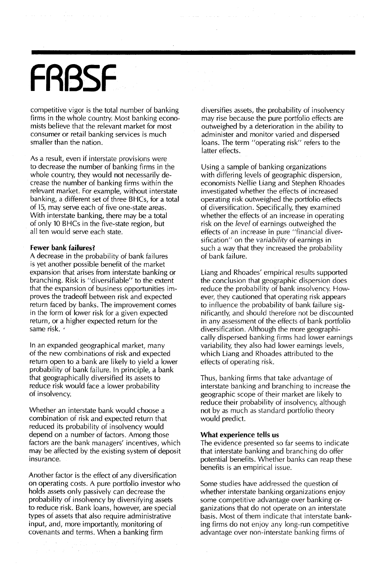# **FRBSF**

competitive vigor is the total number of banking firms in the whole country. Most banking economists believe that the relevant market for most consumer or retail banking services is much smaller than the nation.

As a result, even if interstate provisions were to decrease the number of banking firms in the whole country, they would not necessarily decrease the number of banking firms within the relevant market. For example, without interstate banking, a different set of three BHCs, for a total of 15, may serve each of five one-state areas. With interstate banking, there may be a total of only 10 BHCs in the five-state region, but all ten would serve each state.

#### **Fewer bank failures?**

A decrease in the probability of bank failures is yet another possible benefit of the market expansion that arises from interstate banking or branching. Risk is "diversifiable" to the extent that the expansion of business opportunities improves the tradeoff between risk and expected return faced by banks. The improvement comes in the form of lower risk for a given expected return, or a higher expected return for the same risk. •

**In** an expanded geographical market, many of the new combinations of risk and expected return open to a bank are likely to yield a lower probability of bank failure. **In** principle, a bank that geographically diversified its assets to reduce risk would face a lower probability of insolvency.

Whether an interstate bank would choose a combination of risk and expected return that reduced its probability of insolvency would depend on a number of factors. Among those factors are the bank managers' incentives, which may be affected by the existing system of deposit insurance.

Another factor is the effect of any diversification on operating costs. A pure portfolio investor who holds assets only passively can decrease the probability of insolvency by diversifying assets to reduce risk. Bank loans, however, are special types of assets that also require administrative input, and, more importantly, monitoring of covenants and terms. When a banking firm

diversifies assets, the probability of insolvency may rise because the pure portfolio effects are outweighed by a deterioration in the ability to administer and monitor varied and dispersed loans. The term "operating risk" refers to the latter effects.

Using a sample of banking organizations with differing levels of geographic dispersion, economists Nellie Liang and Stephen Rhoades investigated whether the effects of increased operating risk outweighed the portfolio effects of diversification. Specifically, they examined whether the effects of an increase in operating risk on the *level* of earnings outweighed the effects of an increase in pure "financial diversification" on the *variability* of earnings in such a way that they increased the probability of bank failure.

Liang and Rhoades' empirical results supported the conclusion that geographic dispersion does reduce the probability of bank insolvency. However, they cautioned that operating risk appears to influence the probability of bank failure significantly, and should therefore not be discounted in any assessment of the effects of bank portfolio diversification. Although the more geographically dispersed banking firms had lower earnings variability, they also had lower earnings levels, which Liang and Rhoades attributed to the effects of operating risk.

Thus, banking firms that take advantage of interstate banking and branching to increase the geographic scope of their market are likely to reduce their probability of insolvency, although not by as much as standard portfolio theory would predict.

#### **What experience tells us**

The evidence presented so far seems to indicate that interstate banking and branching do offer potential benefits. Whether banks can reap these benefits is an empirical issue.

Some studies have addressed the question of whether interstate banking organizations enjoy some competitive advantage over banking organizations that do not operate on an interstate basis. Most of them indicate that interstate banking firms do not enjoy any long-run competitive advantage over non-interstate banking firms of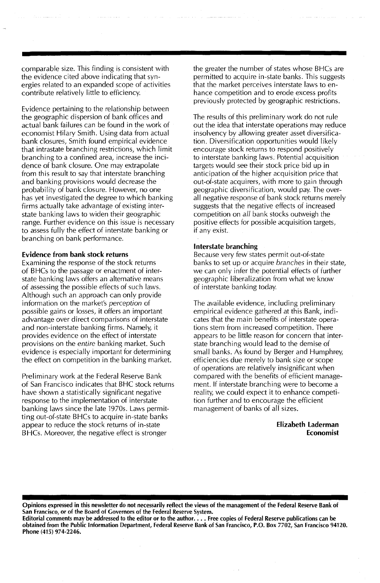comparable size. This finding is consistent with the evidence cited above indicating that synergies related to an expanded scope of activities contribute relatively little to efficiency.

Evidence pertaining to the relationship between the geographic dispersion of bank offices and actual bank failures can be found in the work of economist Hilary Smith. Using data from actual bank closures, Smith found empirical evidence that intrastate branching restrictions, which limit branching to a confined area, increase the incidence of bank closure. One may extrapolate from this result to say that interstate branching and banking provisions would decrease the probability of bank closure. However, no one has yet investigated the degree to which banking firms actually take advantage of existing interstate banking laws to widen their geographic range. Further evidence on this issue is necessary to assess fully the effect of interstate banking or branching on bank performance.

#### Evidence from bank stock returns

Examining the response of the stock returns of BHCs to the passage or enactment of interstate banking laws offers an alternative means of assessing the possible effects of such laws. Although such an approach can only provide information on the market's *perception* of possible gains or losses, it offers an important advantage over direct comparisons of interstate and non-interstate banking firms. Namely, it provides evidence on the effect of interstate provisions on the *entire* banking market. Such evidence is especially important for determining the effect on competition in the banking market.

Preliminary work at the Federal Reserve Bank of San Francisco indicates that BHC stock returns have shown a statistically significant negative response to the implementation of interstate banking laws since the late 1970s. Laws permitting out-of-state BHCs to acquire in-state banks appear to reduce the stock returns of in-state BHCs. Moreover, the negative effect is stronger

the greater the number of states whose BHCs are permitted to acquire in-state banks. This suggests that the market perceives interstate laws to enhance competition and to erode excess profits previously protected by geographic restrictions.

The results of this preliminary work do not rule out the idea that interstate operations may reduce insolvency by allowing greater asset diversification. Diversification opportunities would likely encourage stock returns to respond positively to interstate banking laws. Potential acquisition targets would see their stock price bid up in anticipation of the higher acquisition price that out-of-state acquirers, with more to gain through geographic diversification, would pay. The overall negative response of bank stock returns merely suggests that the negative effects of increased competition on *all* bank stocks outweigh the positive effects for possible acquisition targets, if any exist.

#### Interstate branching

Because very few states permit out-of-state banks to set up or acquire *branches* in their state, we can only infer the potential effects of further geographic liberalization from what we know of interstate banking today.

The available evidence, including preliminary empirical evidence gathered at this Bank, indicates that the main benefits of interstate operations stem from increased competition. There appears to be little reason for concern that interstate branching would lead to the demise of small banks. As found by Berger and Humphrey, efficiencies due merely to bank size or scope of operations are relatively insignificant when compared with the benefits of efficient management. If interstate branching were to become a reality, we could expect it to enhance competition further and to encourage the efficient management of banks of all sizes.

#### Elizabeth laderman Economist

Opinions expressed in this newsletter do not necessarily reflect the views of the management of the Federal Reserve Bank of San Francisco, or of the Board of Governors of the Federal Reserve System.

Editorial comments may be addressed to the editor or to the author.... Free copies of Federal Reserve publications can be obtained from the Public Information Department, Federal Reserve Bank of San Francisco, P.O. Box 7702, San Francisco 94120. Phone (415) 974-2246.